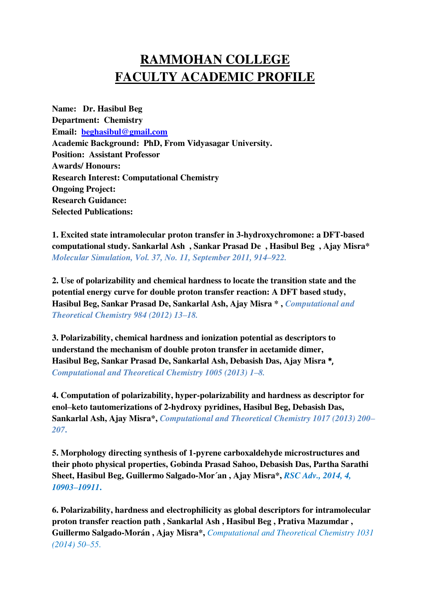## **RAMMOHAN COLLEGE FACULTY ACADEMIC PROFILE**

**Name: Dr. Hasibul Beg Department: Chemistry Email: [beghasibul@gmail.com](mailto:beghasibul@gmail.com) Academic Background: PhD, From Vidyasagar University. Position: Assistant Professor Awards/ Honours: Research Interest: Computational Chemistry Ongoing Project: Research Guidance: Selected Publications:** 

**1. Excited state intramolecular proton transfer in 3-hydroxychromone: a DFT-based computational study. Sankarlal Ash , Sankar Prasad De , Hasibul Beg , Ajay Misra\***  *Molecular Simulation, Vol. 37, No. 11, September 2011, 914–922.* 

**2. Use of polarizability and chemical hardness to locate the transition state and the potential energy curve for double proton transfer reaction: A DFT based study, Hasibul Beg, Sankar Prasad De, Sankarlal Ash, Ajay Misra \* ,** *Computational and Theoretical Chemistry 984 (2012) 13–18.* 

**3. Polarizability, chemical hardness and ionization potential as descriptors to understand the mechanism of double proton transfer in acetamide dimer, Hasibul Beg, Sankar Prasad De, Sankarlal Ash, Debasish Das, Ajay Misra** \*, *Computational and Theoretical Chemistry 1005 (2013) 1–8.*

**4. Computation of polarizability, hyper-polarizability and hardness as descriptor for enol–keto tautomerizations of 2-hydroxy pyridines, Hasibul Beg, Debasish Das, Sankarlal Ash, Ajay Misra\*,** *Computational and Theoretical Chemistry 1017 (2013) 200– 207***.** 

**5. Morphology directing synthesis of 1-pyrene carboxaldehyde microstructures and their photo physical properties, Gobinda Prasad Sahoo, Debasish Das, Partha Sarathi Sheet, Hasibul Beg, Guillermo Salgado-Mor´an , Ajay Misra\*,** *RSC Adv., 2014, 4, 10903–10911***.** 

**6. Polarizability, hardness and electrophilicity as global descriptors for intramolecular proton transfer reaction path , Sankarlal Ash , Hasibul Beg , Prativa Mazumdar , Guillermo Salgado-Morán , Ajay Misra\*,** *Computational and Theoretical Chemistry 1031 (2014) 50–55*.